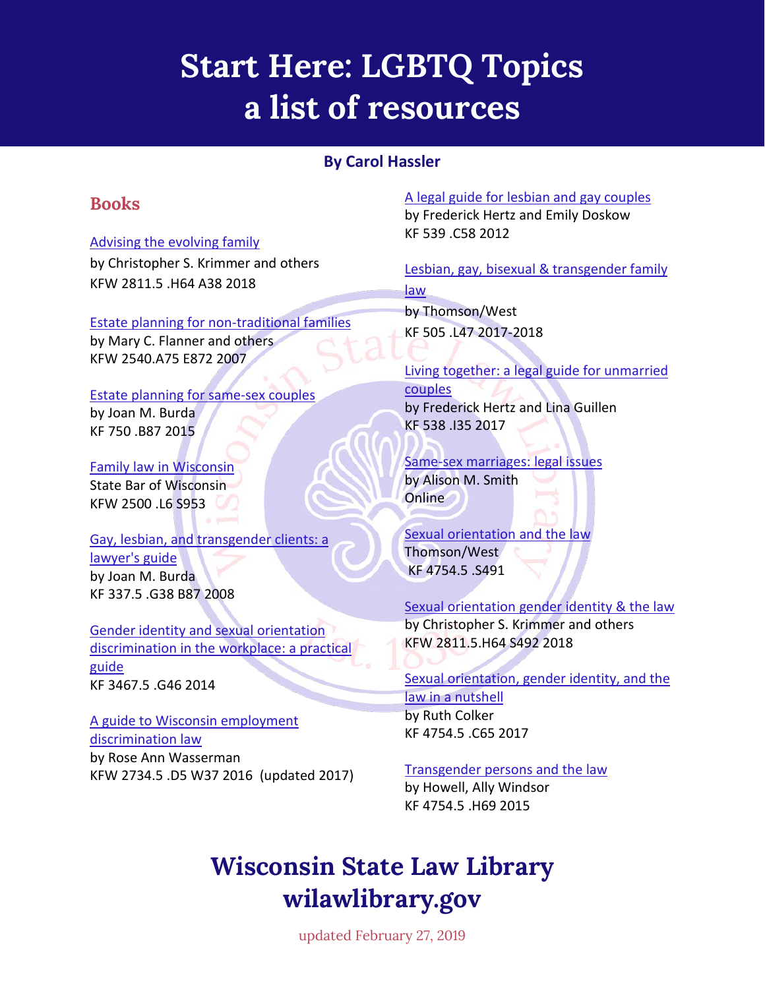# **Start Here: LGBTQ Topics a list of resources**

### **By Carol Hassler**

### **Books**

#### [Advising the evolving family](https://wiscl.wsll.state.wi.us/record=b196161)

by Christopher S. Krimmer and others KFW 2811.5 .H64 A38 2018

#### [Estate planning for non-traditional families](http://wiscl.wsll.state.wi.us/record=b160337)

by Mary C. Flanner and others KFW 2540.A75 E872 2007

#### [Estate planning for same-sex couples](http://wiscl.wsll.state.wi.us/record=b182359)

by Joan M. Burda KF 750 .B87 2015

#### [Family law in Wisconsin](http://wiscl.wsll.state.wi.us/record=b192340) State Bar of Wisconsin KFW 2500 .L6 S953

[Gay, lesbian, and transgender clients: a](http://wiscl.wsll.state.wi.us/record=b160189)  [lawyer's guide](http://wiscl.wsll.state.wi.us/record=b160189) by Joan M. Burda KF 337.5 .G38 B87 2008

#### [Gender identity and sexual orientation](http://wiscl.wsll.state.wi.us/record=b190937)  [discrimination in the workplace: a practical](http://wiscl.wsll.state.wi.us/record=b190937)  [guide](http://wiscl.wsll.state.wi.us/record=b190937) KF 3467.5 .G46 2014

#### [A guide to Wisconsin employment](http://wiscl.wsll.state.wi.us/record=b186592)  [discrimination law](http://wiscl.wsll.state.wi.us/record=b186592) by Rose Ann Wasserman KFW 2734.5 .D5 W37 2016 (updated 2017)

[A legal guide for lesbian and gay couples](http://wiscl.wsll.state.wi.us/record=b174749) by Frederick Hertz and Emily Doskow KF 539 .C58 2012

Lesbian, gay, bisexual & transgender family [law](http://wiscl.wsll.state.wi.us/record=b195938) by Thomson/West

KF 505 .L47 2017-2018

[Living together: a legal guide for unmarried](http://wiscl.wsll.state.wi.us/record=b186530)  [couples](http://wiscl.wsll.state.wi.us/record=b186530) by Frederick Hertz and Lina Guillen KF 538 .I35 2017

#### [Same-sex marriages: legal issues](https://fas.org/sgp/crs/misc/RL31994.pdf) by Alison M. Smith **Online**

[Sexual orientation and the law](http://wiscl.wsll.state.wi.us/record=b173988) Thomson/West KF 4754.5 .S491

#### [Sexual orientation](http://wiscl.wsll.state.wi.us/record=b182129) gender identity & the law

by Christopher S. Krimmer and others KFW 2811.5.H64 S492 2018

#### Sexual orientation, gender identity, and the [law in a nutshell](http://wiscl.wsll.state.wi.us/record=b191863) by Ruth Colker KF 4754.5 .C65 2017

#### [Transgender persons and the law](http://wiscl.wsll.state.wi.us/record=b180601)

by Howell, Ally Windsor KF 4754.5 .H69 2015

# **Wisconsin State Law Library wilawlibrary.gov**

updated February 27, 2019